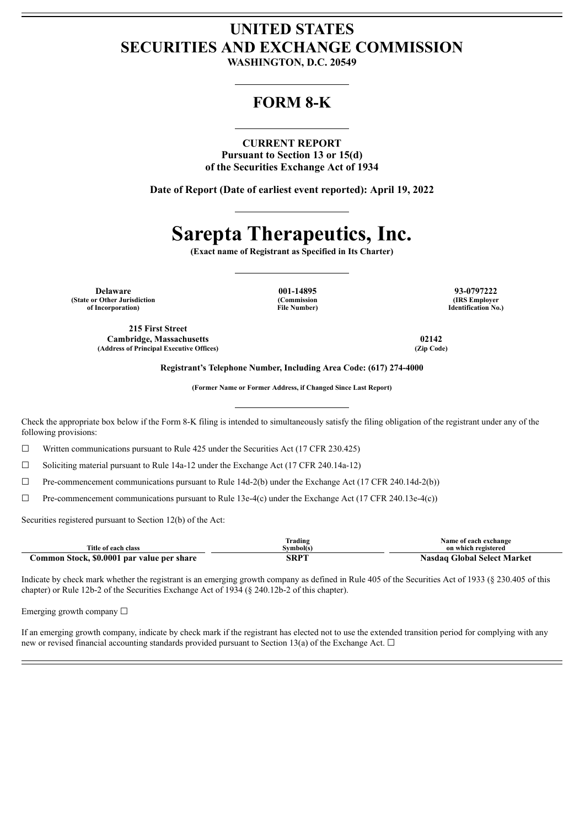# **UNITED STATES SECURITIES AND EXCHANGE COMMISSION**

**WASHINGTON, D.C. 20549**

# **FORM 8-K**

#### **CURRENT REPORT**

**Pursuant to Section 13 or 15(d) of the Securities Exchange Act of 1934**

**Date of Report (Date of earliest event reported): April 19, 2022**

# **Sarepta Therapeutics, Inc.**

**(Exact name of Registrant as Specified in Its Charter)**

**Delaware 001-14895 93-0797222 (State or Other Jurisdiction of Incorporation)**

**(Commission File Number)**

**(IRS Employer Identification No.)**

**215 First Street Cambridge, Massachusetts 02142 (Address of Principal Executive Offices) (Zip Code)**

**Registrant's Telephone Number, Including Area Code: (617) 274-4000**

**(Former Name or Former Address, if Changed Since Last Report)**

Check the appropriate box below if the Form 8-K filing is intended to simultaneously satisfy the filing obligation of the registrant under any of the following provisions:

☐ Written communications pursuant to Rule 425 under the Securities Act (17 CFR 230.425)

 $\Box$  Soliciting material pursuant to Rule 14a-12 under the Exchange Act (17 CFR 240.14a-12)

 $\Box$  Pre-commencement communications pursuant to Rule 14d-2(b) under the Exchange Act (17 CFR 240.14d-2(b))

 $\Box$  Pre-commencement communications pursuant to Rule 13e-4(c) under the Exchange Act (17 CFR 240.13e-4(c))

Securities registered pursuant to Section 12(b) of the Act:

|                                            | Frading   | Name of each exchange                 |  |  |
|--------------------------------------------|-----------|---------------------------------------|--|--|
| Title of each class                        | Svmbol(s` | on which registered                   |  |  |
| Common Stock, \$0,0001 par value per share | SRPT      | <b>Global Select Market</b><br>Nasdaɑ |  |  |

Indicate by check mark whether the registrant is an emerging growth company as defined in Rule 405 of the Securities Act of 1933 (§ 230.405 of this chapter) or Rule 12b-2 of the Securities Exchange Act of 1934 (§ 240.12b-2 of this chapter).

Emerging growth company  $\Box$ 

If an emerging growth company, indicate by check mark if the registrant has elected not to use the extended transition period for complying with any new or revised financial accounting standards provided pursuant to Section 13(a) of the Exchange Act.  $\Box$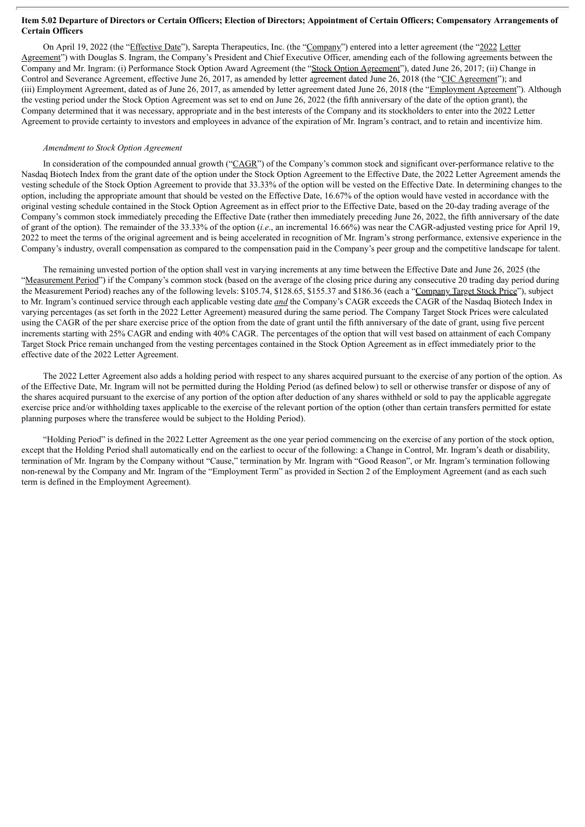#### Item 5.02 Departure of Directors or Certain Officers; Election of Directors; Appointment of Certain Officers; Compensatory Arrangements of **Certain Officers**

On April 19, 2022 (the "Effective Date"), Sarepta Therapeutics, Inc. (the "Company") entered into a letter agreement (the "2022 Letter Agreement") with Douglas S. Ingram, the Company's President and Chief Executive Officer, amending each of the following agreements between the Company and Mr. Ingram: (i) Performance Stock Option Award Agreement (the "Stock Option Agreement"), dated June 26, 2017; (ii) Change in Control and Severance Agreement, effective June 26, 2017, as amended by letter agreement dated June 26, 2018 (the "CIC Agreement"); and (iii) Employment Agreement, dated as of June 26, 2017, as amended by letter agreement dated June 26, 2018 (the "Employment Agreement"). Although the vesting period under the Stock Option Agreement was set to end on June 26, 2022 (the fifth anniversary of the date of the option grant), the Company determined that it was necessary, appropriate and in the best interests of the Company and its stockholders to enter into the 2022 Letter Agreement to provide certainty to investors and employees in advance of the expiration of Mr. Ingram's contract, and to retain and incentivize him.

#### *Amendment to Stock Option Agreement*

In consideration of the compounded annual growth ("CAGR") of the Company's common stock and significant over-performance relative to the Nasdaq Biotech Index from the grant date of the option under the Stock Option Agreement to the Effective Date, the 2022 Letter Agreement amends the vesting schedule of the Stock Option Agreement to provide that 33.33% of the option will be vested on the Effective Date. In determining changes to the option, including the appropriate amount that should be vested on the Effective Date, 16.67% of the option would have vested in accordance with the original vesting schedule contained in the Stock Option Agreement as in effect prior to the Effective Date, based on the 20-day trading average of the Company's common stock immediately preceding the Effective Date (rather then immediately preceding June 26, 2022, the fifth anniversary of the date of grant of the option). The remainder of the 33.33% of the option (*i.e*., an incremental 16.66%) was near the CAGR-adjusted vesting price for April 19, 2022 to meet the terms of the original agreement and is being accelerated in recognition of Mr. Ingram's strong performance, extensive experience in the Company's industry, overall compensation as compared to the compensation paid in the Company's peer group and the competitive landscape for talent.

The remaining unvested portion of the option shall vest in varying increments at any time between the Effective Date and June 26, 2025 (the "Measurement Period") if the Company's common stock (based on the average of the closing price during any consecutive 20 trading day period during the Measurement Period) reaches any of the following levels: \$105.74, \$128.65, \$155.37 and \$186.36 (each a "Company Target Stock Price"), subject to Mr. Ingram's continued service through each applicable vesting date *and* the Company's CAGR exceeds the CAGR of the Nasdaq Biotech Index in varying percentages (as set forth in the 2022 Letter Agreement) measured during the same period. The Company Target Stock Prices were calculated using the CAGR of the per share exercise price of the option from the date of grant until the fifth anniversary of the date of grant, using five percent increments starting with 25% CAGR and ending with 40% CAGR. The percentages of the option that will vest based on attainment of each Company Target Stock Price remain unchanged from the vesting percentages contained in the Stock Option Agreement as in effect immediately prior to the effective date of the 2022 Letter Agreement.

The 2022 Letter Agreement also adds a holding period with respect to any shares acquired pursuant to the exercise of any portion of the option. As of the Effective Date, Mr. Ingram will not be permitted during the Holding Period (as defined below) to sell or otherwise transfer or dispose of any of the shares acquired pursuant to the exercise of any portion of the option after deduction of any shares withheld or sold to pay the applicable aggregate exercise price and/or withholding taxes applicable to the exercise of the relevant portion of the option (other than certain transfers permitted for estate planning purposes where the transferee would be subject to the Holding Period).

"Holding Period" is defined in the 2022 Letter Agreement as the one year period commencing on the exercise of any portion of the stock option, except that the Holding Period shall automatically end on the earliest to occur of the following: a Change in Control, Mr. Ingram's death or disability, termination of Mr. Ingram by the Company without "Cause," termination by Mr. Ingram with "Good Reason", or Mr. Ingram's termination following non-renewal by the Company and Mr. Ingram of the "Employment Term" as provided in Section 2 of the Employment Agreement (and as each such term is defined in the Employment Agreement).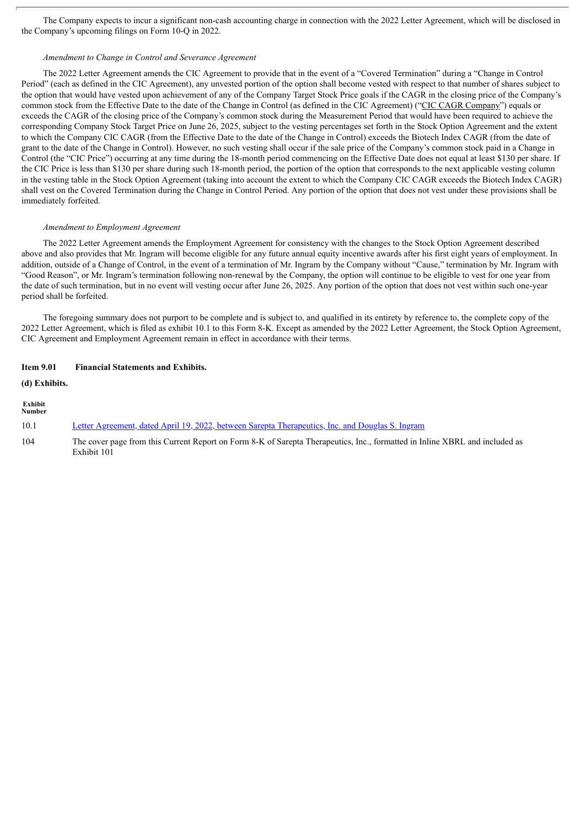The Company expects to incur a significant non-cash accounting charge in connection with the 2022 Letter Agreement, which will be disclosed in the Company's upcoming filings on Form 10-Q in 2022.

#### *Amendment to Change in Control and Severance Agreement*

The 2022 Letter Agreement amends the CIC Agreement to provide that in the event of a "Covered Termination" during a "Change in Control Period" (each as defined in the CIC Agreement), any unvested portion of the option shall become vested with respect to that number of shares subject to the option that would have vested upon achievement of any of the Company Target Stock Price goals if the CAGR in the closing price of the Company's common stock from the Effective Date to the date of the Change in Control (as defined in the CIC Agreement) ("CIC CAGR Company") equals or exceeds the CAGR of the closing price of the Company's common stock during the Measurement Period that would have been required to achieve the corresponding Company Stock Target Price on June 26, 2025, subject to the vesting percentages set forth in the Stock Option Agreement and the extent to which the Company CIC CAGR (from the Effective Date to the date of the Change in Control) exceeds the Biotech Index CAGR (from the date of grant to the date of the Change in Control). However, no such vesting shall occur if the sale price of the Company's common stock paid in a Change in Control (the "CIC Price") occurring at any time during the 18-month period commencing on the Effective Date does not equal at least \$130 per share. If the CIC Price is less than \$130 per share during such 18-month period, the portion of the option that corresponds to the next applicable vesting column in the vesting table in the Stock Option Agreement (taking into account the extent to which the Company CIC CAGR exceeds the Biotech Index CAGR) shall vest on the Covered Termination during the Change in Control Period. Any portion of the option that does not vest under these provisions shall be immediately forfeited.

#### *Amendment to Employment Agreement*

The 2022 Letter Agreement amends the Employment Agreement for consistency with the changes to the Stock Option Agreement described above and also provides that Mr. Ingram will become eligible for any future annual equity incentive awards after his first eight years of employment. In addition, outside of a Change of Control, in the event of a termination of Mr. Ingram by the Company without "Cause," termination by Mr. Ingram with "Good Reason", or Mr. Ingram's termination following non-renewal by the Company, the option will continue to be eligible to vest for one year from the date of such termination, but in no event will vesting occur after June 26, 2025. Any portion of the option that does not vest within such one-year period shall be forfeited.

The foregoing summary does not purport to be complete and is subject to, and qualified in its entirety by reference to, the complete copy of the 2022 Letter Agreement, which is filed as exhibit 10.1 to this Form 8-K. Except as amended by the 2022 Letter Agreement, the Stock Option Agreement, CIC Agreement and Employment Agreement remain in effect in accordance with their terms.

#### **Item 9.01 Financial Statements and Exhibits.**

#### **(d) Exhibits.**

| Exhibit<br><b>Number</b> |                                                                                                                                            |
|--------------------------|--------------------------------------------------------------------------------------------------------------------------------------------|
| 10.1                     | Letter Agreement, dated April 19, 2022, between Sarepta Therapeutics, Inc. and Douglas S. Ingram                                           |
| 104                      | The cover page from this Current Report on Form 8-K of Sarepta Therapeutics, Inc., formatted in Inline XBRL and included as<br>Exhibit 101 |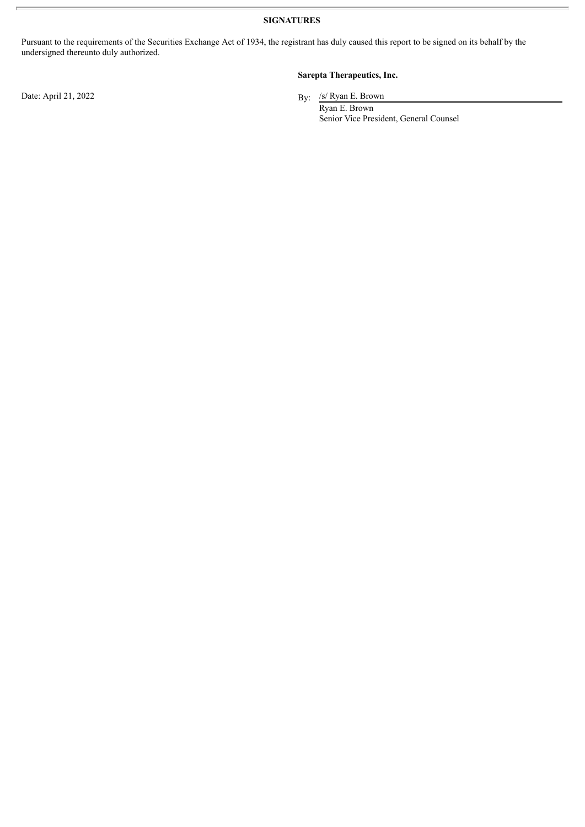**SIGNATURES**

Pursuant to the requirements of the Securities Exchange Act of 1934, the registrant has duly caused this report to be signed on its behalf by the undersigned thereunto duly authorized.

Date: April 21, 2022

### **Sarepta Therapeutics, Inc.**

By: /s/ Ryan E. Brown

Ryan E. Brown Senior Vice President, General Counsel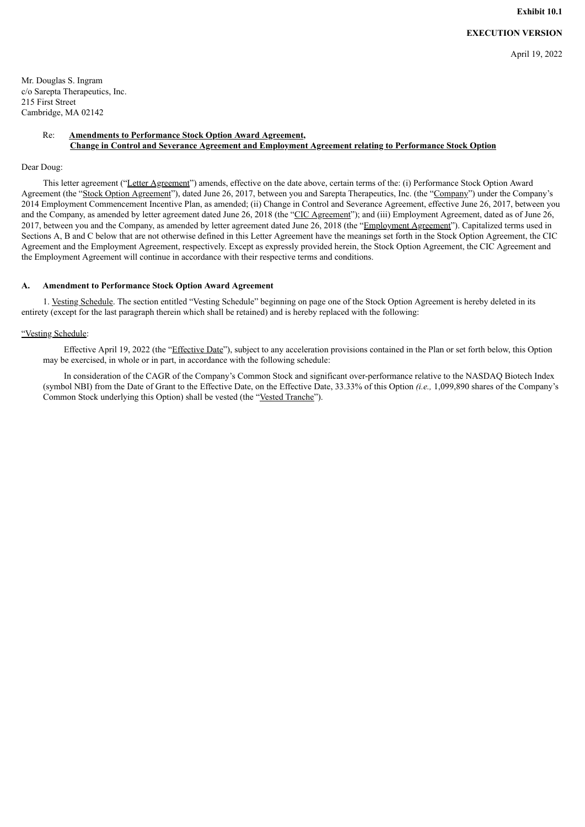## **EXECUTION VERSION**

April 19, 2022

<span id="page-4-0"></span>Mr. Douglas S. Ingram c/o Sarepta Therapeutics, Inc. 215 First Street Cambridge, MA 02142

#### Re: **Amendments to Performance Stock Option Award Agreement, Change in Control and Severance Agreement and Employment Agreement relating to Performance Stock Option**

#### Dear Doug:

This letter agreement ("Letter Agreement") amends, effective on the date above, certain terms of the: (i) Performance Stock Option Award Agreement (the "Stock Option Agreement"), dated June 26, 2017, between you and Sarepta Therapeutics, Inc. (the "Company") under the Company's 2014 Employment Commencement Incentive Plan, as amended; (ii) Change in Control and Severance Agreement, effective June 26, 2017, between you and the Company, as amended by letter agreement dated June 26, 2018 (the "CIC Agreement"); and (iii) Employment Agreement, dated as of June 26, 2017, between you and the Company, as amended by letter agreement dated June 26, 2018 (the "Employment Agreement"). Capitalized terms used in Sections A, B and C below that are not otherwise defined in this Letter Agreement have the meanings set forth in the Stock Option Agreement, the CIC Agreement and the Employment Agreement, respectively. Except as expressly provided herein, the Stock Option Agreement, the CIC Agreement and the Employment Agreement will continue in accordance with their respective terms and conditions.

#### **A. Amendment to Performance Stock Option Award Agreement**

1. Vesting Schedule. The section entitled "Vesting Schedule" beginning on page one of the Stock Option Agreement is hereby deleted in its entirety (except for the last paragraph therein which shall be retained) and is hereby replaced with the following:

#### "Vesting Schedule:

Effective April 19, 2022 (the "Effective Date"), subject to any acceleration provisions contained in the Plan or set forth below, this Option may be exercised, in whole or in part, in accordance with the following schedule:

In consideration of the CAGR of the Company's Common Stock and significant over-performance relative to the NASDAQ Biotech Index (symbol NBI) from the Date of Grant to the Effective Date, on the Effective Date, 33.33% of this Option *(i.e.,* 1,099,890 shares of the Company's Common Stock underlying this Option) shall be vested (the "Vested Tranche").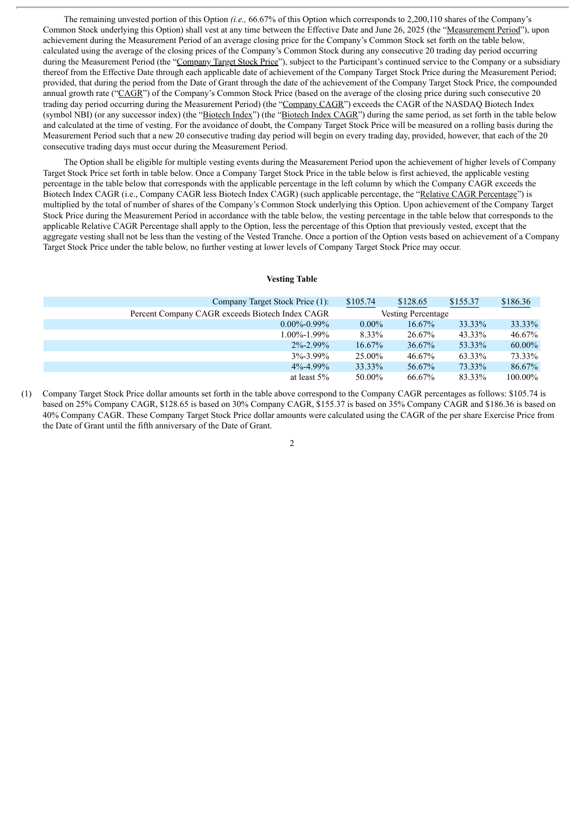The remaining unvested portion of this Option *(i.e.,* 66.67% of this Option which corresponds to 2,200,110 shares of the Company's Common Stock underlying this Option) shall vest at any time between the Effective Date and June 26, 2025 (the "Measurement Period"), upon achievement during the Measurement Period of an average closing price for the Company's Common Stock set forth on the table below, calculated using the average of the closing prices of the Company's Common Stock during any consecutive 20 trading day period occurring during the Measurement Period (the "Company Target Stock Price"), subject to the Participant's continued service to the Company or a subsidiary thereof from the Effective Date through each applicable date of achievement of the Company Target Stock Price during the Measurement Period; provided, that during the period from the Date of Grant through the date of the achievement of the Company Target Stock Price, the compounded annual growth rate ("CAGR") of the Company's Common Stock Price (based on the average of the closing price during such consecutive 20 trading day period occurring during the Measurement Period) (the "Company CAGR") exceeds the CAGR of the NASDAQ Biotech Index (symbol NBI) (or any successor index) (the "Biotech Index") (the "Biotech Index CAGR") during the same period, as set forth in the table below and calculated at the time of vesting. For the avoidance of doubt, the Company Target Stock Price will be measured on a rolling basis during the Measurement Period such that a new 20 consecutive trading day period will begin on every trading day, provided, however, that each of the 20 consecutive trading days must occur during the Measurement Period.

The Option shall be eligible for multiple vesting events during the Measurement Period upon the achievement of higher levels of Company Target Stock Price set forth in table below. Once a Company Target Stock Price in the table below is first achieved, the applicable vesting percentage in the table below that corresponds with the applicable percentage in the left column by which the Company CAGR exceeds the Biotech Index CAGR (i.e., Company CAGR less Biotech Index CAGR) (such applicable percentage, the "Relative CAGR Percentage") is multiplied by the total of number of shares of the Company's Common Stock underlying this Option. Upon achievement of the Company Target Stock Price during the Measurement Period in accordance with the table below, the vesting percentage in the table below that corresponds to the applicable Relative CAGR Percentage shall apply to the Option, less the percentage of this Option that previously vested, except that the aggregate vesting shall not be less than the vesting of the Vested Tranche. Once a portion of the Option vests based on achievement of a Company Target Stock Price under the table below, no further vesting at lower levels of Company Target Stock Price may occur.

#### **Vesting Table**

| Company Target Stock Price (1):                 | \$105.74                  | \$128.65  | \$155.37 | \$186.36 |
|-------------------------------------------------|---------------------------|-----------|----------|----------|
| Percent Company CAGR exceeds Biotech Index CAGR | <b>Vesting Percentage</b> |           |          |          |
| $0.00\% - 0.99\%$                               | $0.00\%$                  | $16.67\%$ | 33.33%   | 33.33%   |
| $1.00\% - 1.99\%$                               | 8.33%                     | 26.67%    | 43.33%   | 46.67%   |
| $2\% - 2.99\%$                                  | $16.67\%$                 | 36.67%    | 53.33%   | 60.00%   |
| $3\% - 3.99\%$                                  | 25.00%                    | 46.67%    | 63.33%   | 73.33%   |
| $4\% - 4.99\%$                                  | 33.33%                    | 56.67%    | 73.33%   | 86.67%   |
| at least $5\%$                                  | 50.00%                    | 66.67%    | 83.33%   | 100.00%  |

(1) Company Target Stock Price dollar amounts set forth in the table above correspond to the Company CAGR percentages as follows: \$105.74 is based on 25% Company CAGR, \$128.65 is based on 30% Company CAGR, \$155.37 is based on 35% Company CAGR and \$186.36 is based on 40% Company CAGR. These Company Target Stock Price dollar amounts were calculated using the CAGR of the per share Exercise Price from the Date of Grant until the fifth anniversary of the Date of Grant.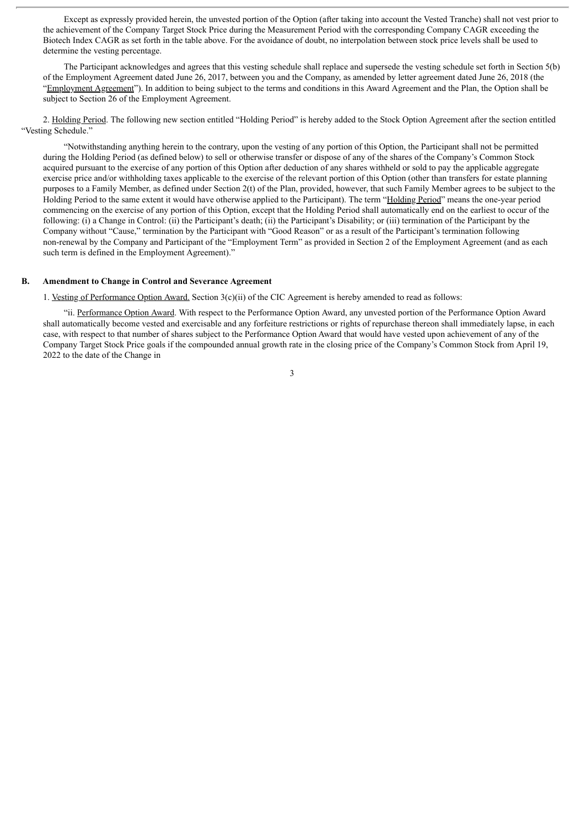Except as expressly provided herein, the unvested portion of the Option (after taking into account the Vested Tranche) shall not vest prior to the achievement of the Company Target Stock Price during the Measurement Period with the corresponding Company CAGR exceeding the Biotech Index CAGR as set forth in the table above. For the avoidance of doubt, no interpolation between stock price levels shall be used to determine the vesting percentage.

The Participant acknowledges and agrees that this vesting schedule shall replace and supersede the vesting schedule set forth in Section 5(b) of the Employment Agreement dated June 26, 2017, between you and the Company, as amended by letter agreement dated June 26, 2018 (the "Employment Agreement"). In addition to being subject to the terms and conditions in this Award Agreement and the Plan, the Option shall be subject to Section 26 of the Employment Agreement.

2. Holding Period. The following new section entitled "Holding Period" is hereby added to the Stock Option Agreement after the section entitled "Vesting Schedule."

"Notwithstanding anything herein to the contrary, upon the vesting of any portion of this Option, the Participant shall not be permitted during the Holding Period (as defined below) to sell or otherwise transfer or dispose of any of the shares of the Company's Common Stock acquired pursuant to the exercise of any portion of this Option after deduction of any shares withheld or sold to pay the applicable aggregate exercise price and/or withholding taxes applicable to the exercise of the relevant portion of this Option (other than transfers for estate planning purposes to a Family Member, as defined under Section 2(t) of the Plan, provided, however, that such Family Member agrees to be subject to the Holding Period to the same extent it would have otherwise applied to the Participant). The term "Holding Period" means the one-year period commencing on the exercise of any portion of this Option, except that the Holding Period shall automatically end on the earliest to occur of the following: (i) a Change in Control: (ii) the Participant's death; (ii) the Participant's Disability; or (iii) termination of the Participant by the Company without "Cause," termination by the Participant with "Good Reason" or as a result of the Participant's termination following non-renewal by the Company and Participant of the "Employment Term" as provided in Section 2 of the Employment Agreement (and as each such term is defined in the Employment Agreement)."

#### **B. Amendment to Change in Control and Severance Agreement**

1. Vesting of Performance Option Award. Section 3(c)(ii) of the CIC Agreement is hereby amended to read as follows:

"ii. Performance Option Award. With respect to the Performance Option Award, any unvested portion of the Performance Option Award shall automatically become vested and exercisable and any forfeiture restrictions or rights of repurchase thereon shall immediately lapse, in each case, with respect to that number of shares subject to the Performance Option Award that would have vested upon achievement of any of the Company Target Stock Price goals if the compounded annual growth rate in the closing price of the Company's Common Stock from April 19, 2022 to the date of the Change in

3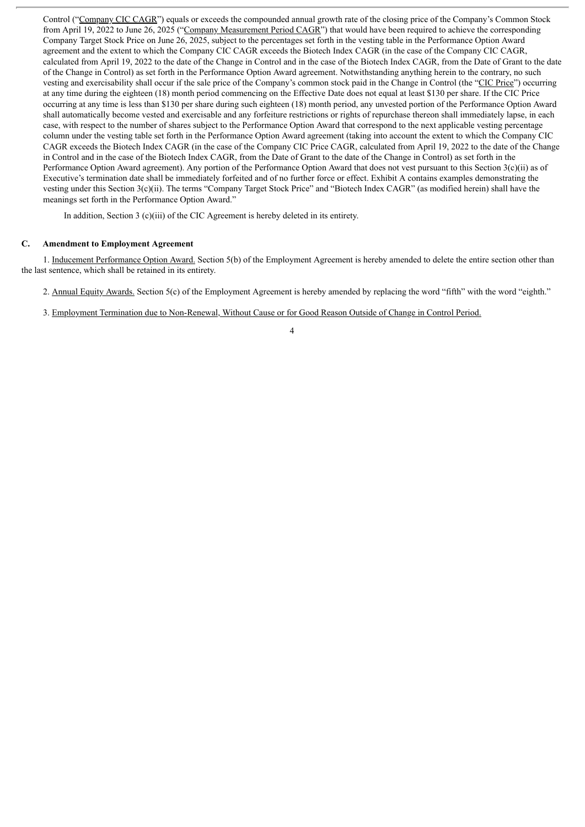Control ("Company CIC CAGR") equals or exceeds the compounded annual growth rate of the closing price of the Company's Common Stock from April 19, 2022 to June 26, 2025 ("Company Measurement Period CAGR") that would have been required to achieve the corresponding Company Target Stock Price on June 26, 2025, subject to the percentages set forth in the vesting table in the Performance Option Award agreement and the extent to which the Company CIC CAGR exceeds the Biotech Index CAGR (in the case of the Company CIC CAGR, calculated from April 19, 2022 to the date of the Change in Control and in the case of the Biotech Index CAGR, from the Date of Grant to the date of the Change in Control) as set forth in the Performance Option Award agreement. Notwithstanding anything herein to the contrary, no such vesting and exercisability shall occur if the sale price of the Company's common stock paid in the Change in Control (the "CIC Price") occurring at any time during the eighteen (18) month period commencing on the Effective Date does not equal at least \$130 per share. If the CIC Price occurring at any time is less than \$130 per share during such eighteen (18) month period, any unvested portion of the Performance Option Award shall automatically become vested and exercisable and any forfeiture restrictions or rights of repurchase thereon shall immediately lapse, in each case, with respect to the number of shares subject to the Performance Option Award that correspond to the next applicable vesting percentage column under the vesting table set forth in the Performance Option Award agreement (taking into account the extent to which the Company CIC CAGR exceeds the Biotech Index CAGR (in the case of the Company CIC Price CAGR, calculated from April 19, 2022 to the date of the Change in Control and in the case of the Biotech Index CAGR, from the Date of Grant to the date of the Change in Control) as set forth in the Performance Option Award agreement). Any portion of the Performance Option Award that does not vest pursuant to this Section 3(c)(ii) as of Executive's termination date shall be immediately forfeited and of no further force or effect. Exhibit A contains examples demonstrating the vesting under this Section 3(c)(ii). The terms "Company Target Stock Price" and "Biotech Index CAGR" (as modified herein) shall have the meanings set forth in the Performance Option Award."

In addition, Section 3 (c)(iii) of the CIC Agreement is hereby deleted in its entirety.

#### **C. Amendment to Employment Agreement**

1. Inducement Performance Option Award. Section 5(b) of the Employment Agreement is hereby amended to delete the entire section other than the last sentence, which shall be retained in its entirety.

- 2. Annual Equity Awards. Section 5(c) of the Employment Agreement is hereby amended by replacing the word "fifth" with the word "eighth."
- 3. Employment Termination due to Non-Renewal, Without Cause or for Good Reason Outside of Change in Control Period.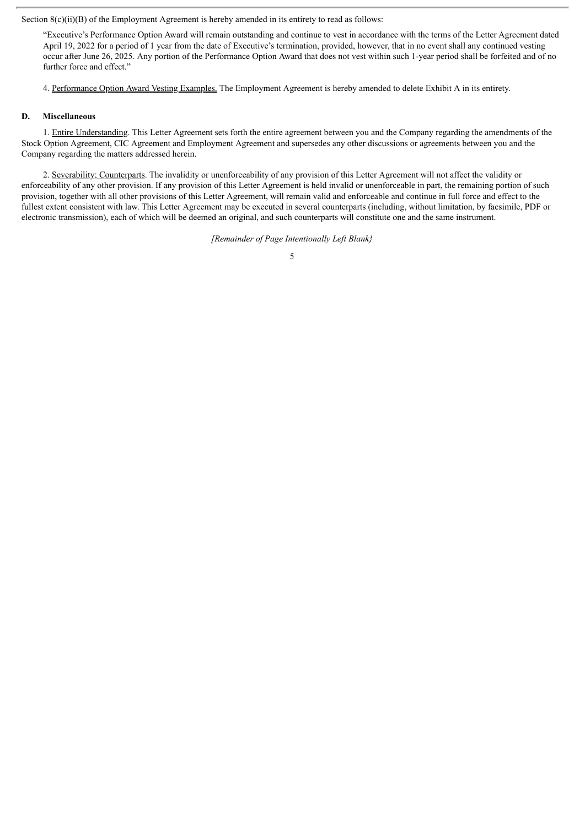Section 8(c)(ii)(B) of the Employment Agreement is hereby amended in its entirety to read as follows:

"Executive's Performance Option Award will remain outstanding and continue to vest in accordance with the terms of the Letter Agreement dated April 19, 2022 for a period of 1 year from the date of Executive's termination, provided, however, that in no event shall any continued vesting occur after June 26, 2025. Any portion of the Performance Option Award that does not vest within such 1-year period shall be forfeited and of no further force and effect."

4. Performance Option Award Vesting Examples. The Employment Agreement is hereby amended to delete Exhibit A in its entirety.

#### **D. Miscellaneous**

1. Entire Understanding. This Letter Agreement sets forth the entire agreement between you and the Company regarding the amendments of the Stock Option Agreement, CIC Agreement and Employment Agreement and supersedes any other discussions or agreements between you and the Company regarding the matters addressed herein.

2. Severability; Counterparts. The invalidity or unenforceability of any provision of this Letter Agreement will not affect the validity or enforceability of any other provision. If any provision of this Letter Agreement is held invalid or unenforceable in part, the remaining portion of such provision, together with all other provisions of this Letter Agreement, will remain valid and enforceable and continue in full force and effect to the fullest extent consistent with law. This Letter Agreement may be executed in several counterparts (including, without limitation, by facsimile, PDF or electronic transmission), each of which will be deemed an original, and such counterparts will constitute one and the same instrument.

*[Remainder of Page Intentionally Left Blank}*

<sup>5</sup>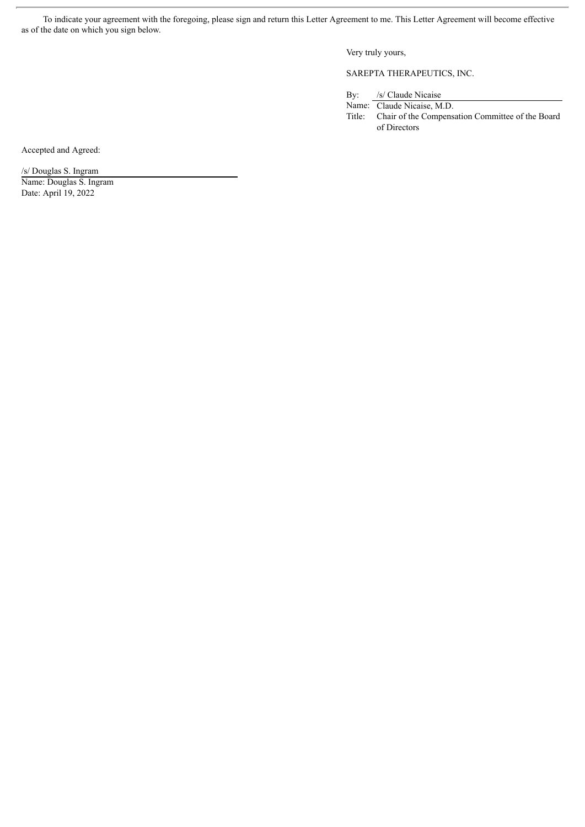To indicate your agreement with the foregoing, please sign and return this Letter Agreement to me. This Letter Agreement will become effective as of the date on which you sign below.

Very truly yours,

SAREPTA THERAPEUTICS, INC.

By: /s/ Claude Nicaise

Name: Claude Nicaise, M.D. Title: Chair of the Compensation Committee of the Board of Directors

Accepted and Agreed:

/s/ Douglas S. Ingram

Name: Douglas S. Ingram Date: April 19, 2022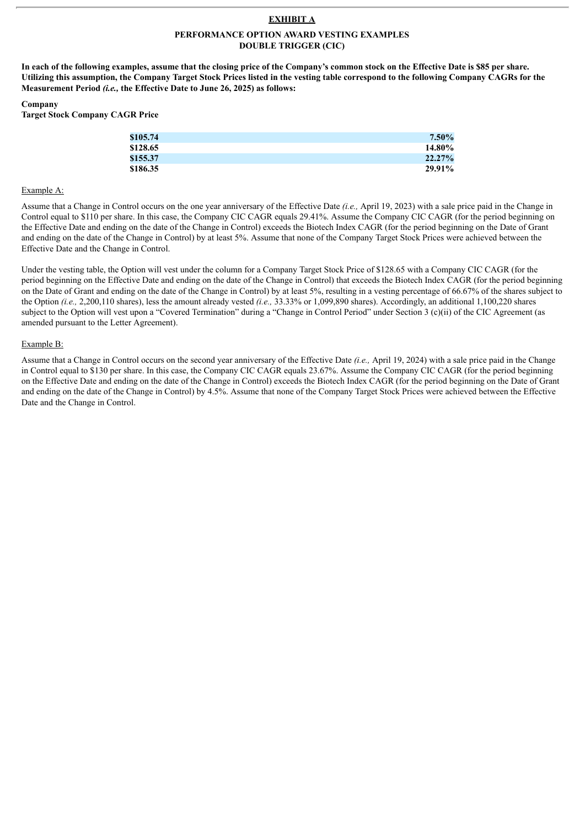### **EXHIBIT A**

#### **PERFORMANCE OPTION AWARD VESTING EXAMPLES DOUBLE TRIGGER (CIC)**

In each of the following examples, assume that the closing price of the Company's common stock on the Effective Date is \$85 per share. Utilizing this assumption, the Company Target Stock Prices listed in the vesting table correspond to the following Company CAGRs for the **Measurement Period** *(i.e.,* **the Effective Date to June 26, 2025) as follows:**

#### **Company**

**Target Stock Company CAGR Price**

| \$105.74 | $7.50\%$ |
|----------|----------|
| \$128.65 | 14.80%   |
| \$155.37 | 22.27%   |
| \$186.35 | 29.91%   |

#### Example A:

Assume that a Change in Control occurs on the one year anniversary of the Effective Date *(i.e.,* April 19, 2023) with a sale price paid in the Change in Control equal to \$110 per share. In this case, the Company CIC CAGR equals 29.41%. Assume the Company CIC CAGR (for the period beginning on the Effective Date and ending on the date of the Change in Control) exceeds the Biotech Index CAGR (for the period beginning on the Date of Grant and ending on the date of the Change in Control) by at least 5%. Assume that none of the Company Target Stock Prices were achieved between the Effective Date and the Change in Control.

Under the vesting table, the Option will vest under the column for a Company Target Stock Price of \$128.65 with a Company CIC CAGR (for the period beginning on the Effective Date and ending on the date of the Change in Control) that exceeds the Biotech Index CAGR (for the period beginning on the Date of Grant and ending on the date of the Change in Control) by at least 5%, resulting in a vesting percentage of 66.67% of the shares subject to the Option *(i.e.,* 2,200,110 shares), less the amount already vested *(i.e.,* 33.33% or 1,099,890 shares). Accordingly, an additional 1,100,220 shares subject to the Option will vest upon a "Covered Termination" during a "Change in Control Period" under Section 3 (c)(ii) of the CIC Agreement (as amended pursuant to the Letter Agreement).

#### Example B:

Assume that a Change in Control occurs on the second year anniversary of the Effective Date *(i.e.,* April 19, 2024) with a sale price paid in the Change in Control equal to \$130 per share. In this case, the Company CIC CAGR equals 23.67%. Assume the Company CIC CAGR (for the period beginning on the Effective Date and ending on the date of the Change in Control) exceeds the Biotech Index CAGR (for the period beginning on the Date of Grant and ending on the date of the Change in Control) by 4.5%. Assume that none of the Company Target Stock Prices were achieved between the Effective Date and the Change in Control.